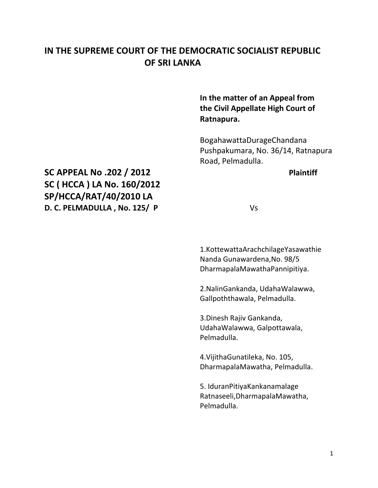# **IN THE SUPREME COURT OF THE DEMOCRATIC SOCIALIST REPUBLIC OF SRI LANKA**

**In the matter of an Appeal from the Civil Appellate High Court of Ratnapura.**

BogahawattaDurageChandana Pushpakumara, No. 36/14, Ratnapura Road, Pelmadulla.

# **SC APPEAL No .202 / 2012 Plaintiff SC ( HCCA ) LA No. 160/2012 SP/HCCA/RAT/40/2010 LA D. C. PELMADULLA , No. 125/ P** Vs

1.KottewattaArachchilageYasawathie Nanda Gunawardena,No. 98/5 DharmapalaMawathaPannipitiya.

2.NalinGankanda, UdahaWalawwa, Gallpoththawala, Pelmadulla.

3.Dinesh Rajiv Gankanda, UdahaWalawwa, Galpottawala, Pelmadulla.

4.VijithaGunatileka, No. 105, DharmapalaMawatha, Pelmadulla.

5. IduranPitiyaKankanamalage Ratnaseeli,DharmapalaMawatha, Pelmadulla.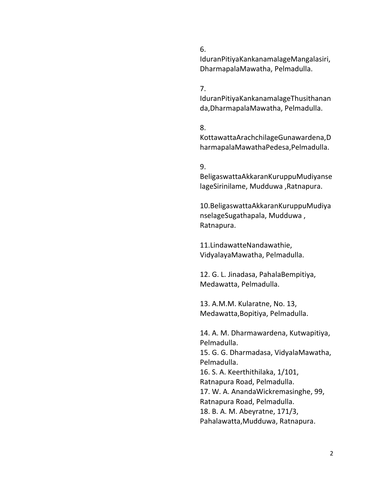#### 6.

IduranPitiyaKankanamalageMangalasiri, DharmapalaMawatha, Pelmadulla.

### 7.

IduranPitiyaKankanamalageThusithanan da,DharmapalaMawatha, Pelmadulla.

#### 8.

KottawattaArachchilageGunawardena,D harmapalaMawathaPedesa,Pelmadulla.

### 9.

BeligaswattaAkkaranKuruppuMudiyanse lageSirinilame, Mudduwa ,Ratnapura.

10.BeligaswattaAkkaranKuruppuMudiya nselageSugathapala, Mudduwa , Ratnapura.

11.LindawatteNandawathie, VidyalayaMawatha, Pelmadulla.

12. G. L. Jinadasa, PahalaBempitiya, Medawatta, Pelmadulla.

13. A.M.M. Kularatne, No. 13, Medawatta,Bopitiya, Pelmadulla.

14. A. M. Dharmawardena, Kutwapitiya, Pelmadulla. 15. G. G. Dharmadasa, VidyalaMawatha, Pelmadulla. 16. S. A. Keerthithilaka, 1/101, Ratnapura Road, Pelmadulla. 17. W. A. AnandaWickremasinghe, 99, Ratnapura Road, Pelmadulla. 18. B. A. M. Abeyratne, 171/3, Pahalawatta,Mudduwa, Ratnapura.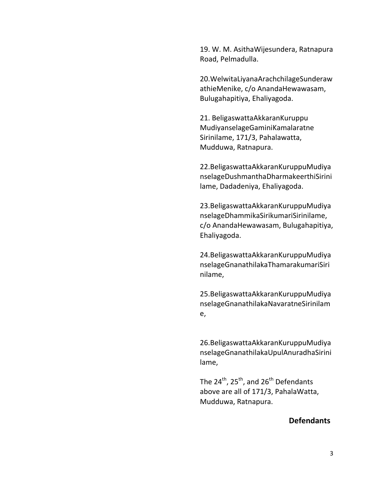19. W. M. AsithaWijesundera, Ratnapura Road, Pelmadulla.

20.WelwitaLiyanaArachchilageSunderaw athieMenike, c/o AnandaHewawasam, Bulugahapitiya, Ehaliyagoda.

21. BeligaswattaAkkaranKuruppu MudiyanselageGaminiKamalaratne Sirinilame, 171/3, Pahalawatta, Mudduwa, Ratnapura.

22.BeligaswattaAkkaranKuruppuMudiya nselageDushmanthaDharmakeerthiSirini lame, Dadadeniya, Ehaliyagoda.

23.BeligaswattaAkkaranKuruppuMudiya nselageDhammikaSirikumariSirinilame, c/o AnandaHewawasam, Bulugahapitiya, Ehaliyagoda.

24.BeligaswattaAkkaranKuruppuMudiya nselageGnanathilakaThamarakumariSiri nilame,

25.BeligaswattaAkkaranKuruppuMudiya nselageGnanathilakaNavaratneSirinilam e,

26.BeligaswattaAkkaranKuruppuMudiya nselageGnanathilakaUpulAnuradhaSirini lame,

The  $24^{th}$ ,  $25^{th}$ , and  $26^{th}$  Defendants above are all of 171/3, PahalaWatta, Mudduwa, Ratnapura.

### **Defendants**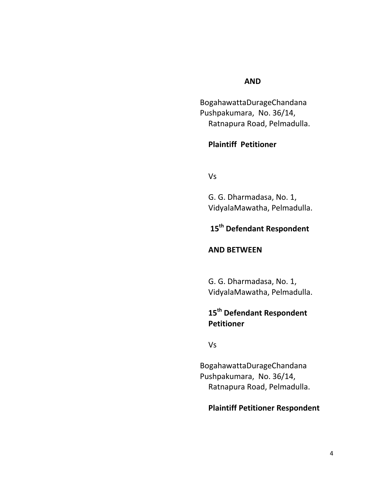### **AND**

BogahawattaDurageChandana Pushpakumara, No. 36/14, Ratnapura Road, Pelmadulla.

## **Plaintiff Petitioner**

Vs

G. G. Dharmadasa, No. 1, VidyalaMawatha, Pelmadulla.

# **15th Defendant Respondent**

### **AND BETWEEN**

G. G. Dharmadasa, No. 1, VidyalaMawatha, Pelmadulla.

# **15th Defendant Respondent Petitioner**

Vs

BogahawattaDurageChandana Pushpakumara, No. 36/14, Ratnapura Road, Pelmadulla.

## **Plaintiff Petitioner Respondent**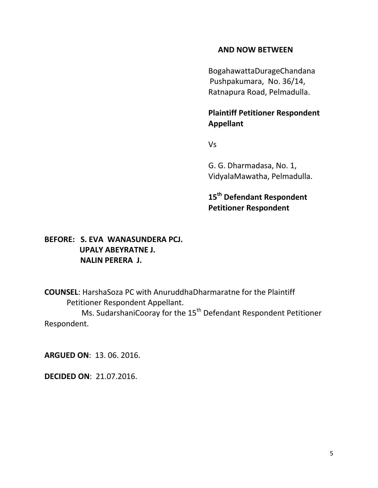## **AND NOW BETWEEN**

BogahawattaDurageChandana Pushpakumara, No. 36/14, Ratnapura Road, Pelmadulla.

## **Plaintiff Petitioner Respondent Appellant**

Vs

G. G. Dharmadasa, No. 1, VidyalaMawatha, Pelmadulla.

**15th Defendant Respondent Petitioner Respondent**

# **BEFORE: S. EVA WANASUNDERA PCJ. UPALY ABEYRATNE J. NALIN PERERA J.**

**COUNSEL**: HarshaSoza PC with AnuruddhaDharmaratne for the Plaintiff Petitioner Respondent Appellant.

Ms. SudarshaniCooray for the 15<sup>th</sup> Defendant Respondent Petitioner Respondent.

**ARGUED ON**: 13. 06. 2016.

**DECIDED ON**: 21.07.2016.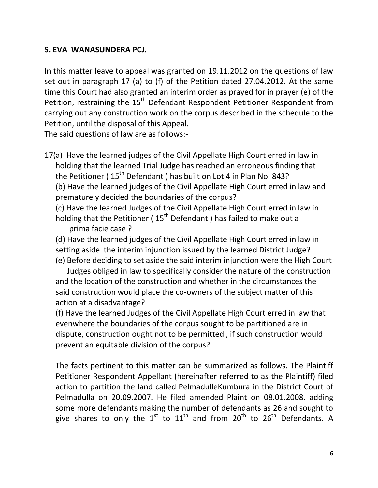## **S. EVA WANASUNDERA PCJ.**

In this matter leave to appeal was granted on 19.11.2012 on the questions of law set out in paragraph 17 (a) to (f) of the Petition dated 27.04.2012. At the same time this Court had also granted an interim order as prayed for in prayer (e) of the Petition, restraining the 15<sup>th</sup> Defendant Respondent Petitioner Respondent from carrying out any construction work on the corpus described in the schedule to the Petition, until the disposal of this Appeal.

The said questions of law are as follows:-

17(a) Have the learned judges of the Civil Appellate High Court erred in law in holding that the learned Trial Judge has reached an erroneous finding that the Petitioner ( $15<sup>th</sup>$  Defendant ) has built on Lot 4 in Plan No. 843? (b) Have the learned judges of the Civil Appellate High Court erred in law and prematurely decided the boundaries of the corpus?

(c) Have the learned Judges of the Civil Appellate High Court erred in law in holding that the Petitioner (15<sup>th</sup> Defendant) has failed to make out a prima facie case ?

(d) Have the learned judges of the Civil Appellate High Court erred in law in setting aside the interim injunction issued by the learned District Judge? (e) Before deciding to set aside the said interim injunction were the High Court

 Judges obliged in law to specifically consider the nature of the construction and the location of the construction and whether in the circumstances the said construction would place the co-owners of the subject matter of this action at a disadvantage?

(f) Have the learned Judges of the Civil Appellate High Court erred in law that evenwhere the boundaries of the corpus sought to be partitioned are in dispute, construction ought not to be permitted , if such construction would prevent an equitable division of the corpus?

The facts pertinent to this matter can be summarized as follows. The Plaintiff Petitioner Respondent Appellant (hereinafter referred to as the Plaintiff) filed action to partition the land called PelmadulleKumbura in the District Court of Pelmadulla on 20.09.2007. He filed amended Plaint on 08.01.2008. adding some more defendants making the number of defendants as 26 and sought to give shares to only the  $1^{st}$  to  $11^{th}$  and from  $20^{th}$  to  $26^{th}$  Defendants. A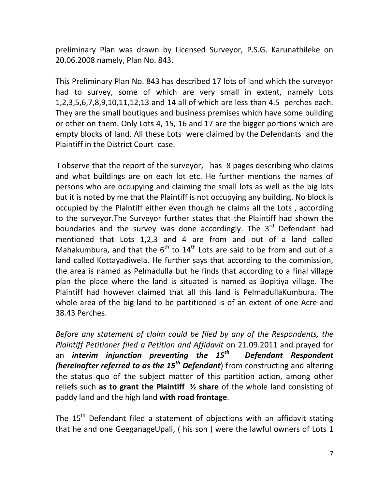preliminary Plan was drawn by Licensed Surveyor, P.S.G. Karunathileke on 20.06.2008 namely, Plan No. 843.

This Preliminary Plan No. 843 has described 17 lots of land which the surveyor had to survey, some of which are very small in extent, namely Lots 1,2,3,5,6,7,8,9,10,11,12,13 and 14 all of which are less than 4.5 perches each. They are the small boutiques and business premises which have some building or other on them. Only Lots 4, 15, 16 and 17 are the bigger portions which are empty blocks of land. All these Lots were claimed by the Defendants and the Plaintiff in the District Court case.

I observe that the report of the surveyor, has 8 pages describing who claims and what buildings are on each lot etc. He further mentions the names of persons who are occupying and claiming the small lots as well as the big lots but it is noted by me that the Plaintiff is not occupying any building. No block is occupied by the Plaintiff either even though he claims all the Lots , according to the surveyor.The Surveyor further states that the Plaintiff had shown the boundaries and the survey was done accordingly. The  $3<sup>rd</sup>$  Defendant had mentioned that Lots 1,2,3 and 4 are from and out of a land called Mahakumbura, and that the  $6<sup>th</sup>$  to  $14<sup>th</sup>$  Lots are said to be from and out of a land called Kottayadiwela. He further says that according to the commission, the area is named as Pelmadulla but he finds that according to a final village plan the place where the land is situated is named as Bopitiya village. The Plaintiff had however claimed that all this land is PelmadullaKumbura. The whole area of the big land to be partitioned is of an extent of one Acre and 38.43 Perches.

*Before any statement of claim could be filed by any of the Respondents, the Plaintiff Petitioner filed a Petition and Affidavit* on 21.09.2011 and prayed for an *interim injunction preventing the 15th Defendant Respondent (hereinafter referred to as the 15th Defendant*) from constructing and altering the status quo of the subject matter of this partition action, among other reliefs such **as to grant the Plaintiff ½ share** of the whole land consisting of paddy land and the high land **with road frontage**.

The  $15<sup>th</sup>$  Defendant filed a statement of objections with an affidavit stating that he and one GeeganageUpali, ( his son ) were the lawful owners of Lots 1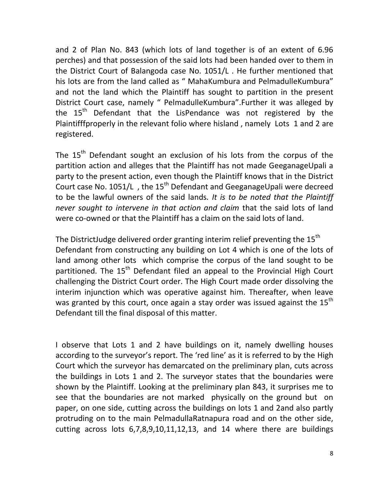and 2 of Plan No. 843 (which lots of land together is of an extent of 6.96 perches) and that possession of the said lots had been handed over to them in the District Court of Balangoda case No. 1051/L . He further mentioned that his lots are from the land called as " MahaKumbura and PelmadulleKumbura" and not the land which the Plaintiff has sought to partition in the present District Court case, namely " PelmadulleKumbura".Further it was alleged by the 15<sup>th</sup> Defendant that the LisPendance was not registered by the Plaintifffproperly in the relevant folio where hisland , namely Lots 1 and 2 are registered.

The 15<sup>th</sup> Defendant sought an exclusion of his lots from the corpus of the partition action and alleges that the Plaintiff has not made GeeganageUpali a party to the present action, even though the Plaintiff knows that in the District Court case No. 1051/L, the 15<sup>th</sup> Defendant and GeeganageUpali were decreed to be the lawful owners of the said lands*. It is to be noted that the Plaintiff never sought to intervene in that action and claim* that the said lots of land were co-owned or that the Plaintiff has a claim on the said lots of land.

The DistrictJudge delivered order granting interim relief preventing the  $15<sup>th</sup>$ Defendant from constructing any building on Lot 4 which is one of the lots of land among other lots which comprise the corpus of the land sought to be partitioned. The 15<sup>th</sup> Defendant filed an appeal to the Provincial High Court challenging the District Court order. The High Court made order dissolving the interim injunction which was operative against him. Thereafter, when leave was granted by this court, once again a stay order was issued against the  $15<sup>th</sup>$ Defendant till the final disposal of this matter.

I observe that Lots 1 and 2 have buildings on it, namely dwelling houses according to the surveyor's report. The 'red line' as it is referred to by the High Court which the surveyor has demarcated on the preliminary plan, cuts across the buildings in Lots 1 and 2. The surveyor states that the boundaries were shown by the Plaintiff. Looking at the preliminary plan 843, it surprises me to see that the boundaries are not marked physically on the ground but on paper, on one side, cutting across the buildings on lots 1 and 2and also partly protruding on to the main PelmadullaRatnapura road and on the other side, cutting across lots 6,7,8,9,10,11,12,13, and 14 where there are buildings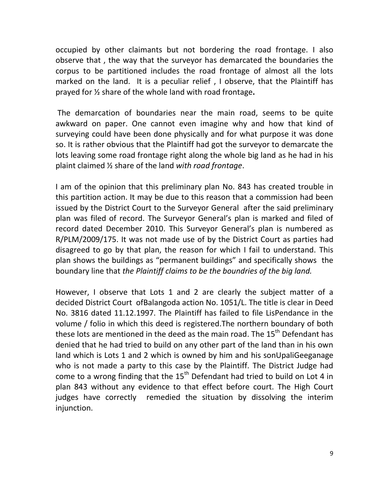occupied by other claimants but not bordering the road frontage. I also observe that , the way that the surveyor has demarcated the boundaries the corpus to be partitioned includes the road frontage of almost all the lots marked on the land. It is a peculiar relief , I observe, that the Plaintiff has prayed for ½ share of the whole land with road frontage**.**

The demarcation of boundaries near the main road, seems to be quite awkward on paper. One cannot even imagine why and how that kind of surveying could have been done physically and for what purpose it was done so. It is rather obvious that the Plaintiff had got the surveyor to demarcate the lots leaving some road frontage right along the whole big land as he had in his plaint claimed ½ share of the land *with road frontage*.

I am of the opinion that this preliminary plan No. 843 has created trouble in this partition action. It may be due to this reason that a commission had been issued by the District Court to the Surveyor General after the said preliminary plan was filed of record. The Surveyor General's plan is marked and filed of record dated December 2010. This Surveyor General's plan is numbered as R/PLM/2009/175. It was not made use of by the District Court as parties had disagreed to go by that plan, the reason for which I fail to understand. This plan shows the buildings as "permanent buildings" and specifically shows the boundary line that *the Plaintiff claims to be the boundries of the big land.*

However, I observe that Lots 1 and 2 are clearly the subject matter of a decided District Court ofBalangoda action No. 1051/L. The title is clear in Deed No. 3816 dated 11.12.1997. The Plaintiff has failed to file LisPendance in the volume / folio in which this deed is registered.The northern boundary of both these lots are mentioned in the deed as the main road. The 15<sup>th</sup> Defendant has denied that he had tried to build on any other part of the land than in his own land which is Lots 1 and 2 which is owned by him and his sonUpaliGeeganage who is not made a party to this case by the Plaintiff. The District Judge had come to a wrong finding that the  $15<sup>th</sup>$  Defendant had tried to build on Lot 4 in plan 843 without any evidence to that effect before court. The High Court judges have correctly remedied the situation by dissolving the interim injunction.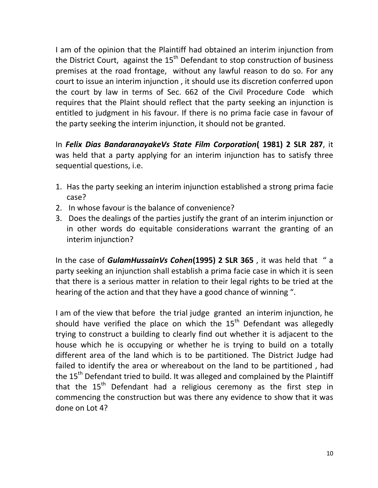I am of the opinion that the Plaintiff had obtained an interim injunction from the District Court, against the  $15<sup>th</sup>$  Defendant to stop construction of business premises at the road frontage, without any lawful reason to do so. For any court to issue an interim injunction , it should use its discretion conferred upon the court by law in terms of Sec. 662 of the Civil Procedure Code which requires that the Plaint should reflect that the party seeking an injunction is entitled to judgment in his favour. If there is no prima facie case in favour of the party seeking the interim injunction, it should not be granted.

In *Felix Dias BandaranayakeVs State Film Corporation***( 1981) 2 SLR 287**, it was held that a party applying for an interim injunction has to satisfy three sequential questions, i.e.

- 1. Has the party seeking an interim injunction established a strong prima facie case?
- 2. In whose favour is the balance of convenience?
- 3. Does the dealings of the parties justify the grant of an interim injunction or in other words do equitable considerations warrant the granting of an interim injunction?

In the case of *GulamHussainVs Cohen***(1995) 2 SLR 365** , it was held that " a party seeking an injunction shall establish a prima facie case in which it is seen that there is a serious matter in relation to their legal rights to be tried at the hearing of the action and that they have a good chance of winning ".

I am of the view that before the trial judge granted an interim injunction, he should have verified the place on which the  $15<sup>th</sup>$  Defendant was allegedly trying to construct a building to clearly find out whether it is adjacent to the house which he is occupying or whether he is trying to build on a totally different area of the land which is to be partitioned. The District Judge had failed to identify the area or whereabout on the land to be partitioned , had the  $15<sup>th</sup>$  Defendant tried to build. It was alleged and complained by the Plaintiff that the  $15<sup>th</sup>$  Defendant had a religious ceremony as the first step in commencing the construction but was there any evidence to show that it was done on Lot 4?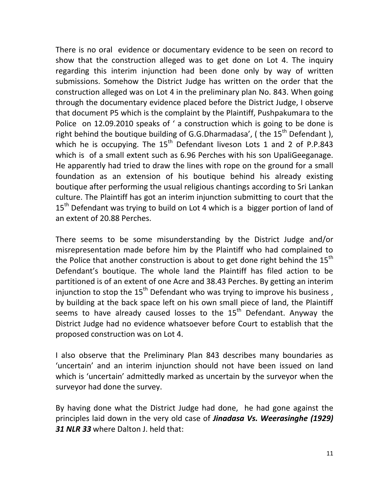There is no oral evidence or documentary evidence to be seen on record to show that the construction alleged was to get done on Lot 4. The inquiry regarding this interim injunction had been done only by way of written submissions. Somehow the District Judge has written on the order that the construction alleged was on Lot 4 in the preliminary plan No. 843. When going through the documentary evidence placed before the District Judge, I observe that document P5 which is the complaint by the Plaintiff, Pushpakumara to the Police on 12.09.2010 speaks of ' a construction which is going to be done is right behind the boutique building of G.G.Dharmadasa', (the  $15<sup>th</sup>$  Defendant), which he is occupying. The  $15<sup>th</sup>$  Defendant liveson Lots 1 and 2 of P.P.843 which is of a small extent such as 6.96 Perches with his son UpaliGeeganage. He apparently had tried to draw the lines with rope on the ground for a small foundation as an extension of his boutique behind his already existing boutique after performing the usual religious chantings according to Sri Lankan culture. The Plaintiff has got an interim injunction submitting to court that the 15<sup>th</sup> Defendant was trying to build on Lot 4 which is a bigger portion of land of an extent of 20.88 Perches.

There seems to be some misunderstanding by the District Judge and/or misrepresentation made before him by the Plaintiff who had complained to the Police that another construction is about to get done right behind the  $15<sup>th</sup>$ Defendant's boutique. The whole land the Plaintiff has filed action to be partitioned is of an extent of one Acre and 38.43 Perches. By getting an interim injunction to stop the  $15<sup>th</sup>$  Defendant who was trying to improve his business, by building at the back space left on his own small piece of land, the Plaintiff seems to have already caused losses to the  $15<sup>th</sup>$  Defendant. Anyway the District Judge had no evidence whatsoever before Court to establish that the proposed construction was on Lot 4.

I also observe that the Preliminary Plan 843 describes many boundaries as 'uncertain' and an interim injunction should not have been issued on land which is 'uncertain' admittedly marked as uncertain by the surveyor when the surveyor had done the survey.

By having done what the District Judge had done, he had gone against the principles laid down in the very old case of *Jinadasa Vs. Weerasinghe (1929) 31 NLR 33* where Dalton J. held that: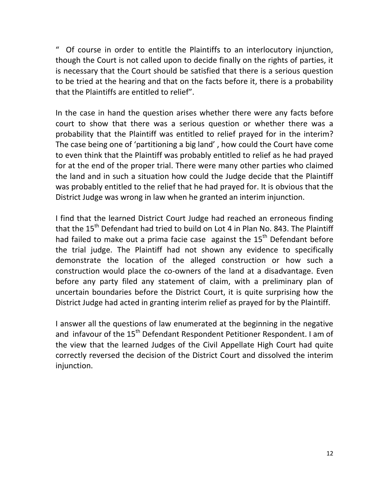" Of course in order to entitle the Plaintiffs to an interlocutory injunction, though the Court is not called upon to decide finally on the rights of parties, it is necessary that the Court should be satisfied that there is a serious question to be tried at the hearing and that on the facts before it, there is a probability that the Plaintiffs are entitled to relief".

In the case in hand the question arises whether there were any facts before court to show that there was a serious question or whether there was a probability that the Plaintiff was entitled to relief prayed for in the interim? The case being one of 'partitioning a big land' , how could the Court have come to even think that the Plaintiff was probably entitled to relief as he had prayed for at the end of the proper trial. There were many other parties who claimed the land and in such a situation how could the Judge decide that the Plaintiff was probably entitled to the relief that he had prayed for. It is obvious that the District Judge was wrong in law when he granted an interim injunction.

I find that the learned District Court Judge had reached an erroneous finding that the  $15<sup>th</sup>$  Defendant had tried to build on Lot 4 in Plan No. 843. The Plaintiff had failed to make out a prima facie case against the  $15<sup>th</sup>$  Defendant before the trial judge. The Plaintiff had not shown any evidence to specifically demonstrate the location of the alleged construction or how such a construction would place the co-owners of the land at a disadvantage. Even before any party filed any statement of claim, with a preliminary plan of uncertain boundaries before the District Court, it is quite surprising how the District Judge had acted in granting interim relief as prayed for by the Plaintiff.

I answer all the questions of law enumerated at the beginning in the negative and infavour of the 15<sup>th</sup> Defendant Respondent Petitioner Respondent. I am of the view that the learned Judges of the Civil Appellate High Court had quite correctly reversed the decision of the District Court and dissolved the interim injunction.